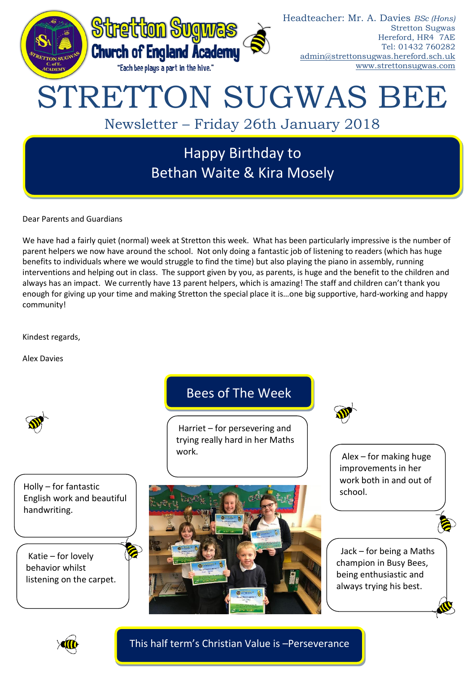

Dear Parents and Guardians

We have had a fairly quiet (normal) week at Stretton this week. What has been particularly impressive is the number of parent helpers we now have around the school. Not only doing a fantastic job of listening to readers (which has huge benefits to individuals where we would struggle to find the time) but also playing the piano in assembly, running interventions and helping out in class. The support given by you, as parents, is huge and the benefit to the children and always has an impact. We currently have 13 parent helpers, which is amazing! The staff and children can't thank you enough for giving up your time and making Stretton the special place it is…one big supportive, hard-working and happy community!

Kindest regards,

Alex Davies



This half term's Christian Value is –Perseverance